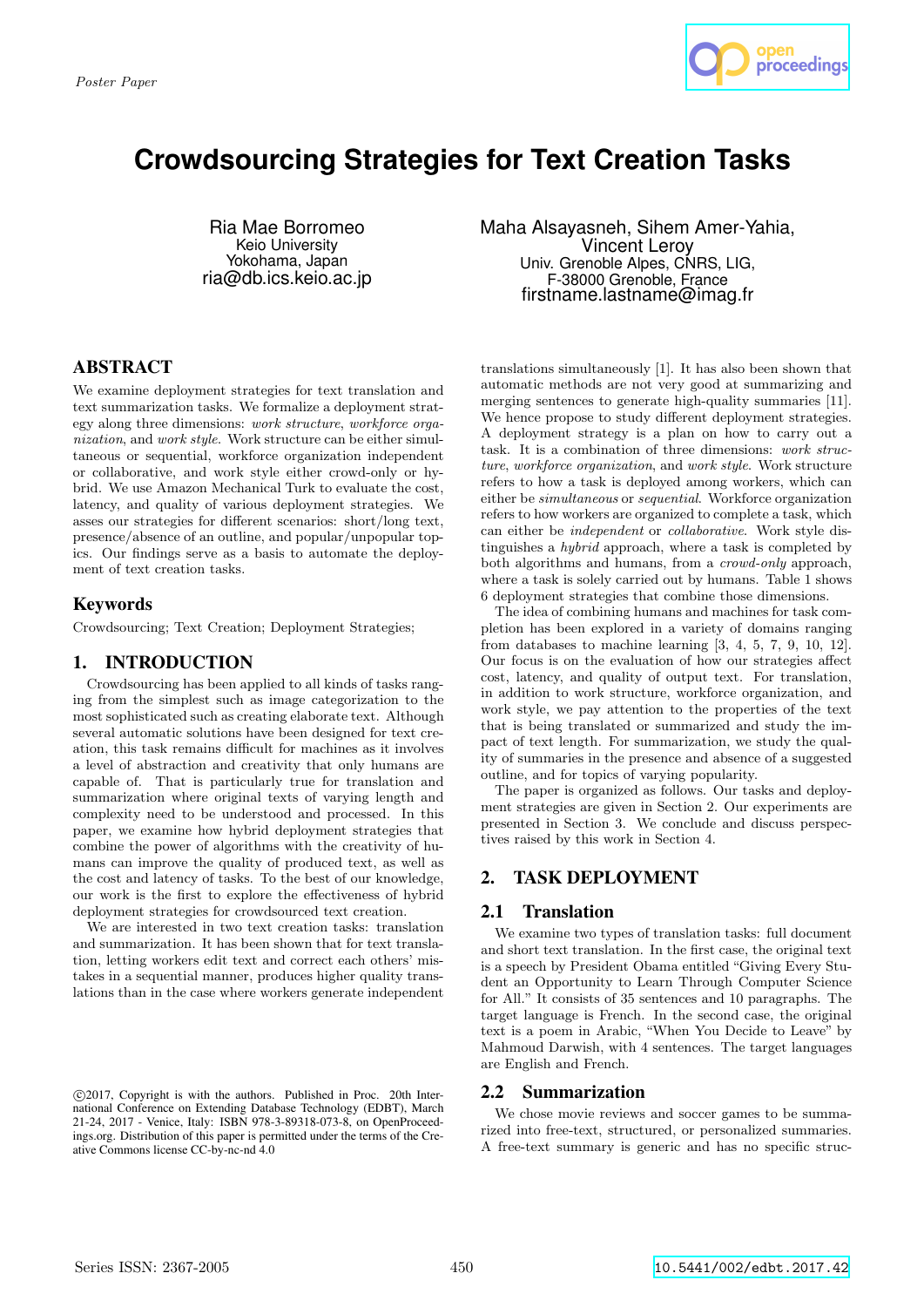

# **Crowdsourcing Strategies for Text Creation Tasks**

Ria Mae Borromeo Keio University Yokohama, Japan ria@db.ics.keio.ac.jp

# ABSTRACT

We examine deployment strategies for text translation and text summarization tasks. We formalize a deployment strategy along three dimensions: work structure, workforce organization, and work style. Work structure can be either simultaneous or sequential, workforce organization independent or collaborative, and work style either crowd-only or hybrid. We use Amazon Mechanical Turk to evaluate the cost, latency, and quality of various deployment strategies. We asses our strategies for different scenarios: short/long text, presence/absence of an outline, and popular/unpopular topics. Our findings serve as a basis to automate the deployment of text creation tasks.

## Keywords

Crowdsourcing; Text Creation; Deployment Strategies;

# 1. INTRODUCTION

Crowdsourcing has been applied to all kinds of tasks ranging from the simplest such as image categorization to the most sophisticated such as creating elaborate text. Although several automatic solutions have been designed for text creation, this task remains difficult for machines as it involves a level of abstraction and creativity that only humans are capable of. That is particularly true for translation and summarization where original texts of varying length and complexity need to be understood and processed. In this paper, we examine how hybrid deployment strategies that combine the power of algorithms with the creativity of humans can improve the quality of produced text, as well as the cost and latency of tasks. To the best of our knowledge, our work is the first to explore the effectiveness of hybrid deployment strategies for crowdsourced text creation.

We are interested in two text creation tasks: translation and summarization. It has been shown that for text translation, letting workers edit text and correct each others' mistakes in a sequential manner, produces higher quality translations than in the case where workers generate independent Maha Alsayasneh, Sihem Amer-Yahia, Vincent Leroy Univ. Grenoble Alpes, CNRS, LIG, F-38000 Grenoble, France firstname.lastname@imag.fr

translations simultaneously [1]. It has also been shown that automatic methods are not very good at summarizing and merging sentences to generate high-quality summaries [11]. We hence propose to study different deployment strategies. A deployment strategy is a plan on how to carry out a task. It is a combination of three dimensions: work structure, workforce organization, and work style. Work structure refers to how a task is deployed among workers, which can either be simultaneous or sequential. Workforce organization refers to how workers are organized to complete a task, which can either be independent or collaborative. Work style distinguishes a hybrid approach, where a task is completed by both algorithms and humans, from a crowd-only approach, where a task is solely carried out by humans. Table 1 shows 6 deployment strategies that combine those dimensions.

The idea of combining humans and machines for task completion has been explored in a variety of domains ranging from databases to machine learning [3, 4, 5, 7, 9, 10, 12]. Our focus is on the evaluation of how our strategies affect cost, latency, and quality of output text. For translation, in addition to work structure, workforce organization, and work style, we pay attention to the properties of the text that is being translated or summarized and study the impact of text length. For summarization, we study the quality of summaries in the presence and absence of a suggested outline, and for topics of varying popularity.

The paper is organized as follows. Our tasks and deployment strategies are given in Section 2. Our experiments are presented in Section 3. We conclude and discuss perspectives raised by this work in Section 4.

# 2. TASK DEPLOYMENT

# 2.1 Translation

We examine two types of translation tasks: full document and short text translation. In the first case, the original text is a speech by President Obama entitled "Giving Every Student an Opportunity to Learn Through Computer Science for All." It consists of 35 sentences and 10 paragraphs. The target language is French. In the second case, the original text is a poem in Arabic, "When You Decide to Leave" by Mahmoud Darwish, with 4 sentences. The target languages are English and French.

## 2.2 Summarization

We chose movie reviews and soccer games to be summarized into free-text, structured, or personalized summaries. A free-text summary is generic and has no specific struc-

c 2017, Copyright is with the authors. Published in Proc. 20th International Conference on Extending Database Technology (EDBT), March 21-24, 2017 - Venice, Italy: ISBN 978-3-89318-073-8, on OpenProceedings.org. Distribution of this paper is permitted under the terms of the Creative Commons license CC-by-nc-nd 4.0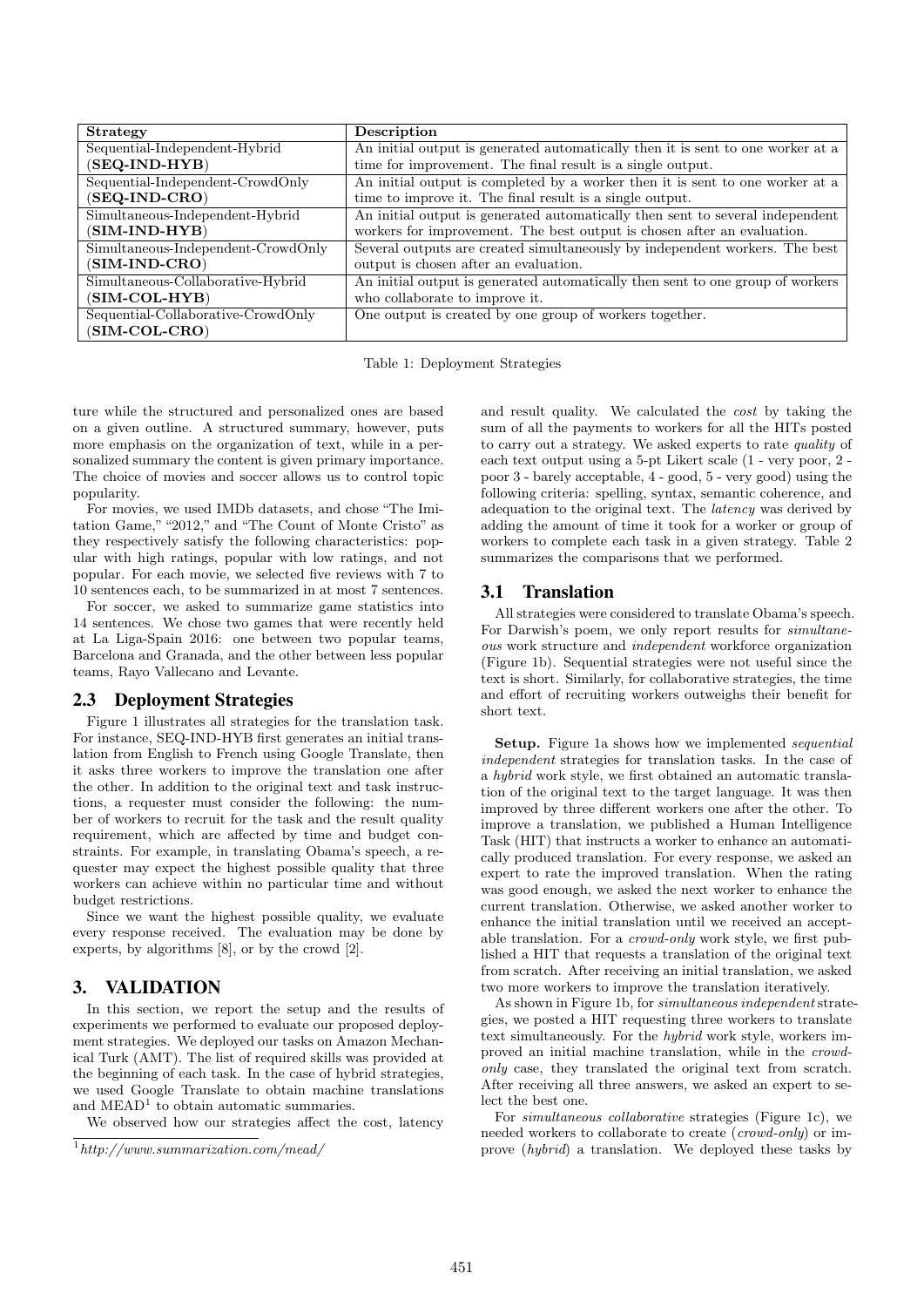| <b>Strategy</b>                    | Description                                                                     |
|------------------------------------|---------------------------------------------------------------------------------|
| Sequential-Independent-Hybrid      | An initial output is generated automatically then it is sent to one worker at a |
| $(SEQ-IND-HYB)$                    | time for improvement. The final result is a single output.                      |
| Sequential-Independent-CrowdOnly   | An initial output is completed by a worker then it is sent to one worker at a   |
| $(SEQ-IND-CRO)$                    | time to improve it. The final result is a single output.                        |
| Simultaneous-Independent-Hybrid    | An initial output is generated automatically then sent to several independent   |
| $(SIM-IND-HYB)$                    | workers for improvement. The best output is chosen after an evaluation.         |
| Simultaneous-Independent-CrowdOnly | Several outputs are created simultaneously by independent workers. The best     |
| (SIM-IND-CRO)                      | output is chosen after an evaluation.                                           |
| Simultaneous-Collaborative-Hybrid  | An initial output is generated automatically then sent to one group of workers  |
| $(SIM-COL-HYB)$                    | who collaborate to improve it.                                                  |
| Sequential-Collaborative-CrowdOnly | One output is created by one group of workers together.                         |
| $(SIM-COL-CRO)$                    |                                                                                 |

Table 1: Deployment Strategies

ture while the structured and personalized ones are based on a given outline. A structured summary, however, puts more emphasis on the organization of text, while in a personalized summary the content is given primary importance. The choice of movies and soccer allows us to control topic popularity.

For movies, we used IMDb datasets, and chose "The Imitation Game," "2012," and "The Count of Monte Cristo" as they respectively satisfy the following characteristics: popular with high ratings, popular with low ratings, and not popular. For each movie, we selected five reviews with 7 to 10 sentences each, to be summarized in at most 7 sentences.

For soccer, we asked to summarize game statistics into 14 sentences. We chose two games that were recently held at La Liga-Spain 2016: one between two popular teams, Barcelona and Granada, and the other between less popular teams, Rayo Vallecano and Levante.

## 2.3 Deployment Strategies

Figure 1 illustrates all strategies for the translation task. For instance, SEQ-IND-HYB first generates an initial translation from English to French using Google Translate, then it asks three workers to improve the translation one after the other. In addition to the original text and task instructions, a requester must consider the following: the number of workers to recruit for the task and the result quality requirement, which are affected by time and budget constraints. For example, in translating Obama's speech, a requester may expect the highest possible quality that three workers can achieve within no particular time and without budget restrictions.

Since we want the highest possible quality, we evaluate every response received. The evaluation may be done by experts, by algorithms [8], or by the crowd [2].

## 3. VALIDATION

In this section, we report the setup and the results of experiments we performed to evaluate our proposed deployment strategies. We deployed our tasks on Amazon Mechanical Turk (AMT). The list of required skills was provided at the beginning of each task. In the case of hybrid strategies, we used Google Translate to obtain machine translations and  $\text{MEAD}^1$  to obtain automatic summaries.

We observed how our strategies affect the cost, latency

and result quality. We calculated the cost by taking the sum of all the payments to workers for all the HITs posted to carry out a strategy. We asked experts to rate quality of each text output using a 5-pt Likert scale (1 - very poor, 2 poor 3 - barely acceptable, 4 - good, 5 - very good) using the following criteria: spelling, syntax, semantic coherence, and adequation to the original text. The latency was derived by adding the amount of time it took for a worker or group of workers to complete each task in a given strategy. Table 2 summarizes the comparisons that we performed.

#### 3.1 Translation

All strategies were considered to translate Obama's speech. For Darwish's poem, we only report results for simultaneous work structure and independent workforce organization (Figure 1b). Sequential strategies were not useful since the text is short. Similarly, for collaborative strategies, the time and effort of recruiting workers outweighs their benefit for short text.

Setup. Figure 1a shows how we implemented *sequential* independent strategies for translation tasks. In the case of a hybrid work style, we first obtained an automatic translation of the original text to the target language. It was then improved by three different workers one after the other. To improve a translation, we published a Human Intelligence Task (HIT) that instructs a worker to enhance an automatically produced translation. For every response, we asked an expert to rate the improved translation. When the rating was good enough, we asked the next worker to enhance the current translation. Otherwise, we asked another worker to enhance the initial translation until we received an acceptable translation. For a crowd-only work style, we first published a HIT that requests a translation of the original text from scratch. After receiving an initial translation, we asked two more workers to improve the translation iteratively.

As shown in Figure 1b, for simultaneous independent strategies, we posted a HIT requesting three workers to translate text simultaneously. For the hybrid work style, workers improved an initial machine translation, while in the crowdonly case, they translated the original text from scratch. After receiving all three answers, we asked an expert to select the best one.

For simultaneous collaborative strategies (Figure 1c), we needed workers to collaborate to create (*crowd-only*) or improve (hybrid) a translation. We deployed these tasks by

 $1$ http://www.summarization.com/mead/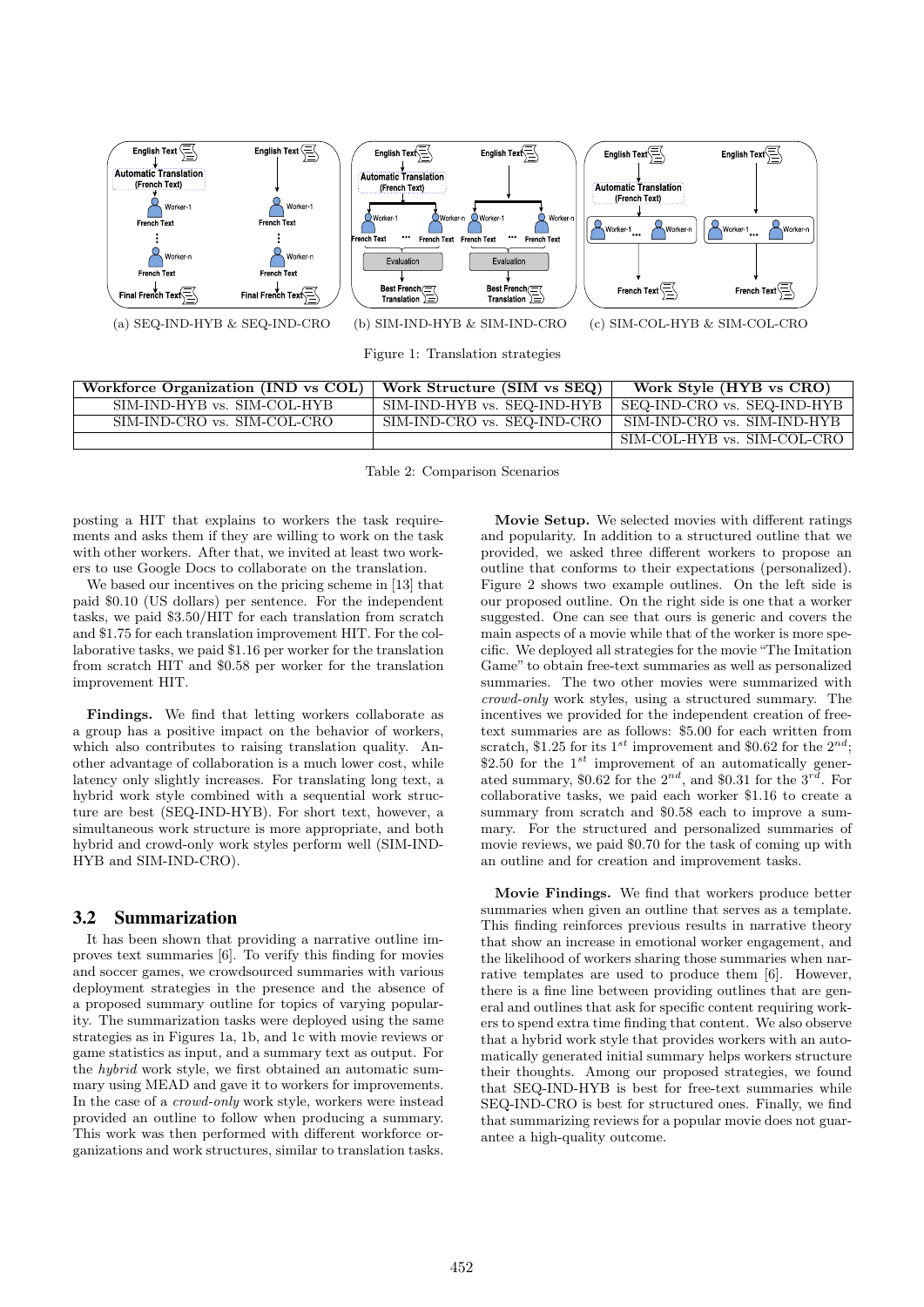

Figure 1: Translation strategies

| Workforce Organization (IND vs COL) | Work Structure (SIM vs SEQ) | Work Style (HYB vs CRO)     |
|-------------------------------------|-----------------------------|-----------------------------|
| SIM-IND-HYB vs. SIM-COL-HYB         | SIM-IND-HYB vs. SEQ-IND-HYB | SEQ-IND-CRO vs. SEQ-IND-HYB |
| SIM-IND-CRO vs. SIM-COL-CRO         | SIM-IND-CRO vs. SEQ-IND-CRO | SIM-IND-CRO vs. SIM-IND-HYB |
|                                     |                             | SIM-COL-HYB vs. SIM-COL-CRO |

Table 2: Comparison Scenarios

posting a HIT that explains to workers the task requirements and asks them if they are willing to work on the task with other workers. After that, we invited at least two workers to use Google Docs to collaborate on the translation.

We based our incentives on the pricing scheme in [13] that paid \$0.10 (US dollars) per sentence. For the independent tasks, we paid \$3.50/HIT for each translation from scratch and \$1.75 for each translation improvement HIT. For the collaborative tasks, we paid \$1.16 per worker for the translation from scratch HIT and \$0.58 per worker for the translation improvement HIT.

Findings. We find that letting workers collaborate as a group has a positive impact on the behavior of workers, which also contributes to raising translation quality. Another advantage of collaboration is a much lower cost, while latency only slightly increases. For translating long text, a hybrid work style combined with a sequential work structure are best (SEQ-IND-HYB). For short text, however, a simultaneous work structure is more appropriate, and both hybrid and crowd-only work styles perform well (SIM-IND-HYB and SIM-IND-CRO).

#### 3.2 Summarization

It has been shown that providing a narrative outline improves text summaries [6]. To verify this finding for movies and soccer games, we crowdsourced summaries with various deployment strategies in the presence and the absence of a proposed summary outline for topics of varying popularity. The summarization tasks were deployed using the same strategies as in Figures 1a, 1b, and 1c with movie reviews or game statistics as input, and a summary text as output. For the hybrid work style, we first obtained an automatic summary using MEAD and gave it to workers for improvements. In the case of a crowd-only work style, workers were instead provided an outline to follow when producing a summary. This work was then performed with different workforce organizations and work structures, similar to translation tasks.

Movie Setup. We selected movies with different ratings and popularity. In addition to a structured outline that we provided, we asked three different workers to propose an outline that conforms to their expectations (personalized). Figure 2 shows two example outlines. On the left side is our proposed outline. On the right side is one that a worker suggested. One can see that ours is generic and covers the main aspects of a movie while that of the worker is more specific. We deployed all strategies for the movie "The Imitation Game" to obtain free-text summaries as well as personalized summaries. The two other movies were summarized with crowd-only work styles, using a structured summary. The incentives we provided for the independent creation of freetext summaries are as follows: \$5.00 for each written from scratch, \$1.25 for its 1<sup>st</sup> improvement and \$0.62 for the  $2^{nd}$ ; \$2.50 for the  $1^{st}$  improvement of an automatically generated summary, \$0.62 for the  $2^{nd}$ , and \$0.31 for the  $3^{rd}$ . For collaborative tasks, we paid each worker \$1.16 to create a summary from scratch and \$0.58 each to improve a summary. For the structured and personalized summaries of movie reviews, we paid \$0.70 for the task of coming up with an outline and for creation and improvement tasks.

Movie Findings. We find that workers produce better summaries when given an outline that serves as a template. This finding reinforces previous results in narrative theory that show an increase in emotional worker engagement, and the likelihood of workers sharing those summaries when narrative templates are used to produce them [6]. However, there is a fine line between providing outlines that are general and outlines that ask for specific content requiring workers to spend extra time finding that content. We also observe that a hybrid work style that provides workers with an automatically generated initial summary helps workers structure their thoughts. Among our proposed strategies, we found that SEQ-IND-HYB is best for free-text summaries while SEQ-IND-CRO is best for structured ones. Finally, we find that summarizing reviews for a popular movie does not guarantee a high-quality outcome.